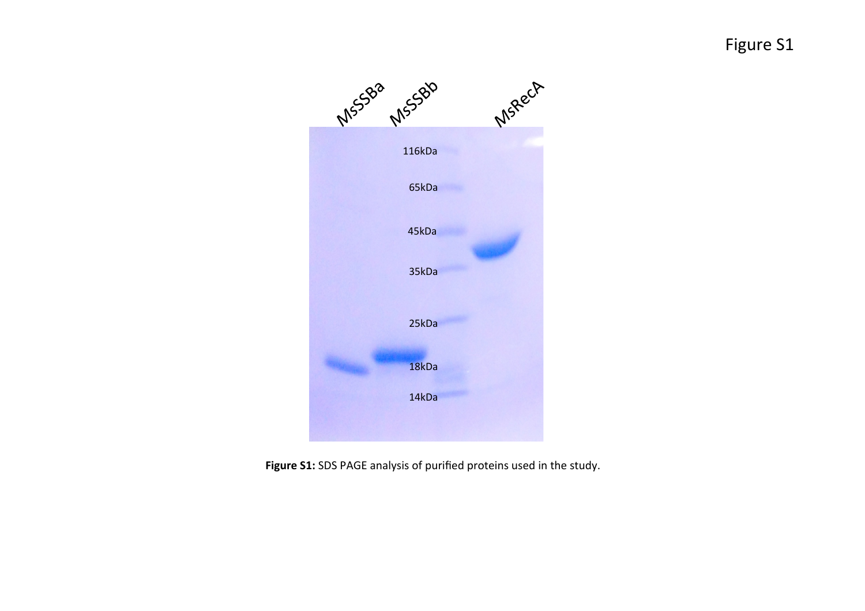Figure S1



Figure S1: SDS PAGE analysis of purified proteins used in the study.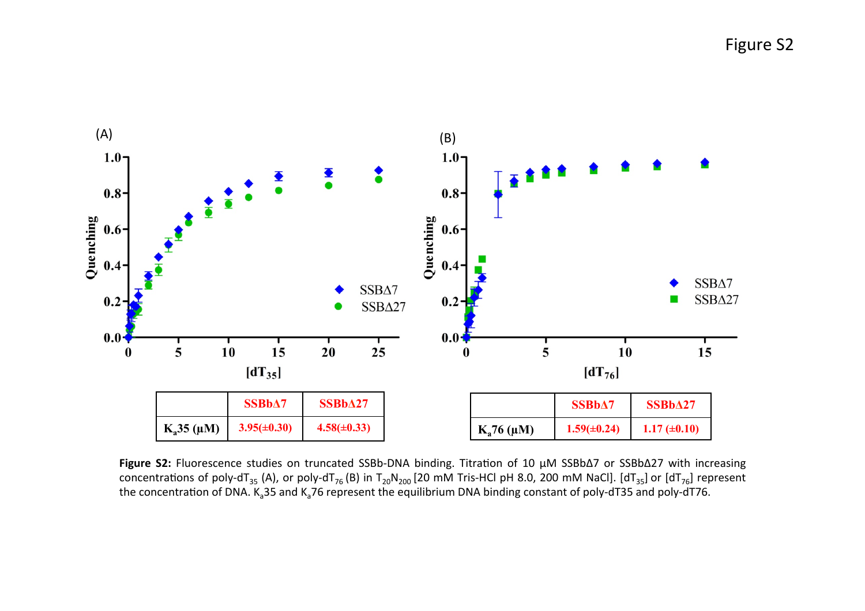Figure S2



Figure S2: Fluorescence studies on truncated SSBb-DNA binding. Titration of 10 μM SSBbΔ7 or SSBbΔ27 with increasing concentrations of poly-dT<sub>35</sub> (A), or poly-dT<sub>76</sub> (B) in T<sub>20</sub>N<sub>200</sub> [20 mM Tris-HCl pH 8.0, 200 mM NaCl]. [dT<sub>35</sub>] or [dT<sub>76</sub>] represent the concentration of DNA. K<sub>a</sub>35 and K<sub>a</sub>76 represent the equilibrium DNA binding constant of poly-dT35 and poly-dT76.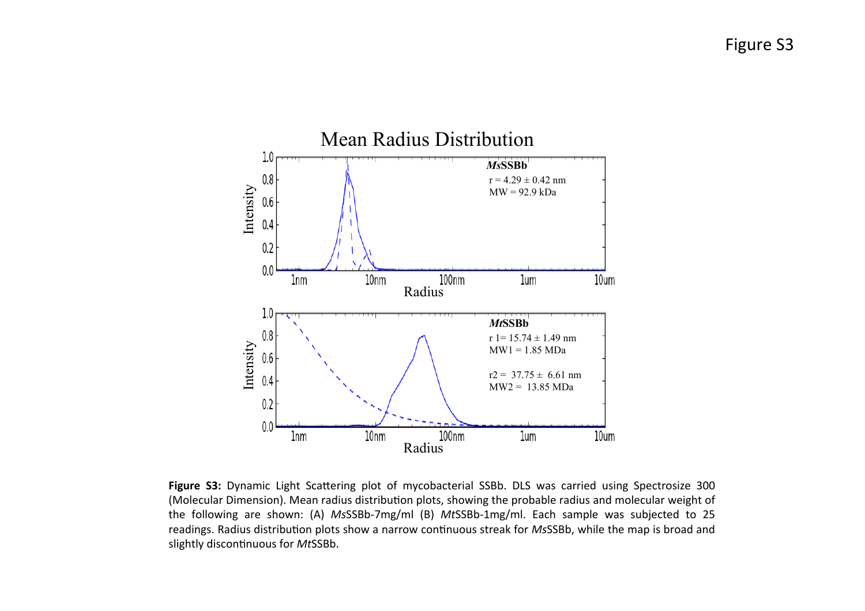

**Figure S3:** Dynamic Light Scattering plot of mycobacterial SSBb. DLS was carried using Spectrosize 300 (Molecular Dimension). Mean radius distribution plots, showing the probable radius and molecular weight of the following are shown: (A) MsSSBb-7mg/ml (B) MtSSBb-1mg/ml. Each sample was subjected to 25 readings. Radius distribution plots show a narrow continuous streak for *MsSSBb*, while the map is broad and slightly discontinuous for MtSSBb.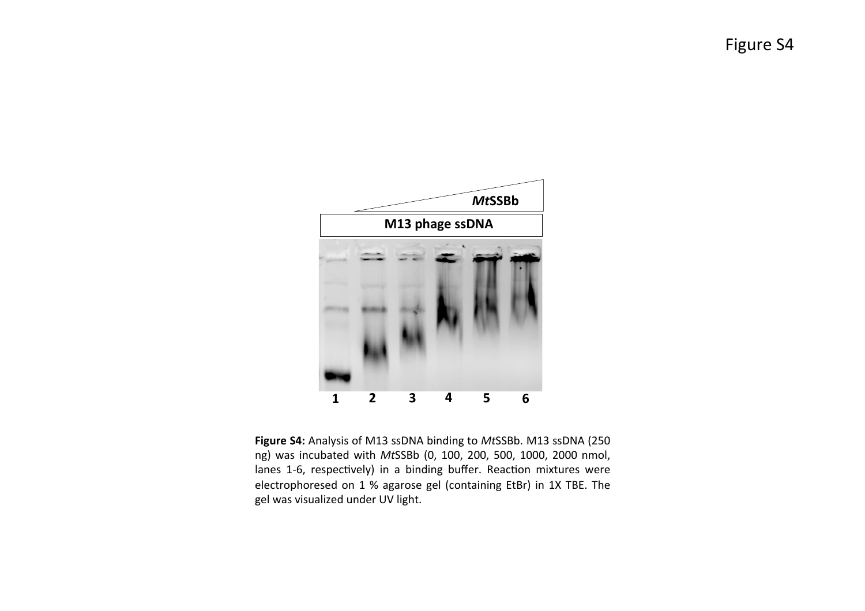Figure S4



**Figure S4:** Analysis of M13 ssDNA binding to MtSSBb. M13 ssDNA (250) ng) was incubated with *Mt*SSBb (0, 100, 200, 500, 1000, 2000 nmol, lanes 1-6, respectively) in a binding buffer. Reaction mixtures were electrophoresed on 1 % agarose gel (containing EtBr) in 1X TBE. The gel was visualized under UV light.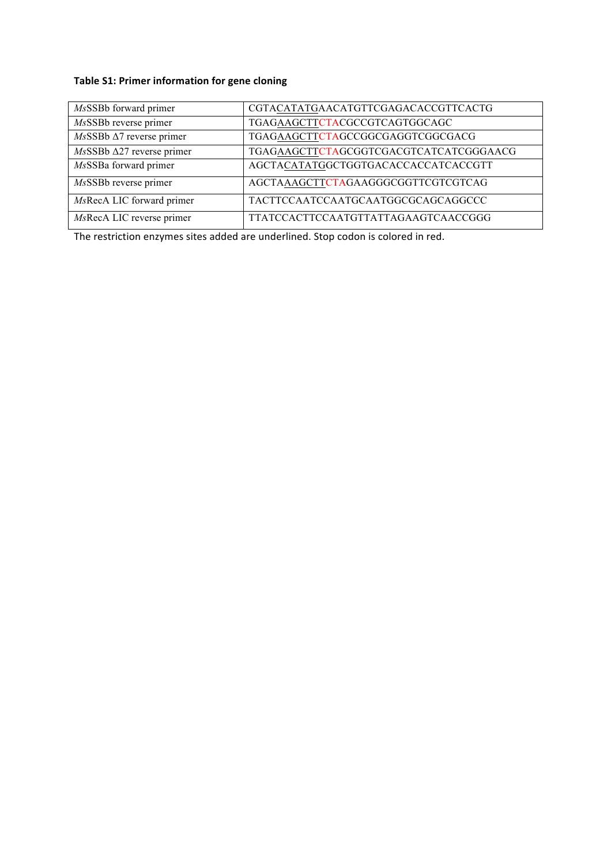## **Table S1: Primer information for gene cloning**

| MsSSBb forward primer                | CGTACATATGAACATGTTCGAGACACCGTTCACTG    |
|--------------------------------------|----------------------------------------|
| MsSSBb reverse primer                | TGAGAAGCTTCTACGCCGTCAGTGGCAGC          |
| $MsSBBb \Delta 7$ reverse primer     | TGAGAAGCTTCTAGCCGGCGAGGTCGGCGACG       |
| $Ms$ SSBb $\Delta$ 27 reverse primer | TGAGAAGCTTCTAGCGGTCGACGTCATCATCGGGAACG |
| MsSSBa forward primer                | AGCTACATATGGCTGGTGACACCACCATCACCGTT    |
| MsSSBb reverse primer                | AGCTAAAGCTTCTAGAAGGGCGGTTCGTCGTCAG     |
| MsRecA LIC forward primer            | TACTTCCAATCCAATGCAATGGCGCAGCAGGCCC     |
| MsRecA LIC reverse primer            | TTATCCACTTCCAATGTTATTAGAAGTCAACCGGG    |

The restriction enzymes sites added are underlined. Stop codon is colored in red.